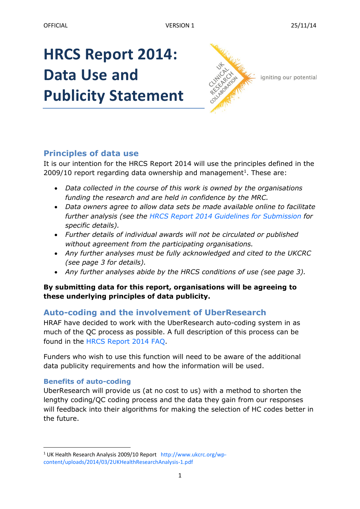# **HRCS Report 2014: Data Use and Publicity Statement**



igniting our potential

# **Principles of data use**

It is our intention for the HRCS Report 2014 will use the principles defined in the  $2009/10$  report regarding data ownership and management<sup>1</sup>. These are:

- *Data collected in the course of this work is owned by the organisations funding the research and are held in confidence by the MRC.*
- *Data owners agree to allow data sets be made available online to facilitate further analysis (see the [HRCS Report 2014 Guidelines for Submission](http://www.hrcsonline.net/pages/data) for specific details).*
- *Further details of individual awards will not be circulated or published without agreement from the participating organisations.*
- *Any further analyses must be fully acknowledged and cited to the UKCRC (see page 3 for details).*
- *Any further analyses abide by the HRCS conditions of use (see page 3).*

#### **By submitting data for this report, organisations will be agreeing to these underlying principles of data publicity.**

# **Auto-coding and the involvement of UberResearch**

HRAF have decided to work with the UberResearch auto-coding system in as much of the QC process as possible. A full description of this process can be found in the [HRCS Report 2014 FAQ.](http://www.hrcsonline.net/pages/data)

Funders who wish to use this function will need to be aware of the additional data publicity requirements and how the information will be used.

#### **Benefits of auto-coding**

1

UberResearch will provide us (at no cost to us) with a method to shorten the lengthy coding/QC coding process and the data they gain from our responses will feedback into their algorithms for making the selection of HC codes better in the future.

<sup>1</sup> UK Health Research Analysis 2009/10 Report [http://www.ukcrc.org/wp](http://www.ukcrc.org/wp-content/uploads/2014/03/2UKHealthResearchAnalysis-1.pdf)[content/uploads/2014/03/2UKHealthResearchAnalysis-1.pdf](http://www.ukcrc.org/wp-content/uploads/2014/03/2UKHealthResearchAnalysis-1.pdf)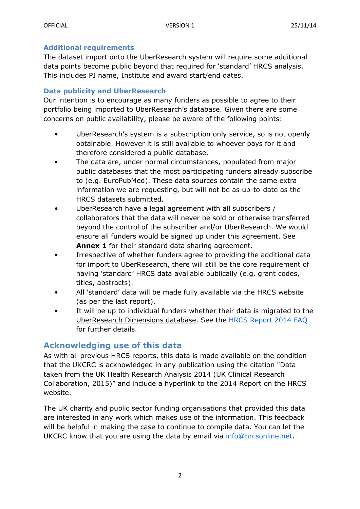#### **Additional requirements**

The dataset import onto the UberResearch system will require some additional data points become public beyond that required for 'standard' HRCS analysis. This includes PI name, Institute and award start/end dates.

#### **Data publicity and UberResearch**

Our intention is to encourage as many funders as possible to agree to their portfolio being imported to UberResearch's database. Given there are some concerns on public availability, please be aware of the following points:

- UberResearch's system is a subscription only service, so is not openly obtainable. However it is still available to whoever pays for it and therefore considered a public database.
- The data are, under normal circumstances, populated from major public databases that the most participating funders already subscribe to (e.g. EuroPubMed). These data sources contain the same extra information we are requesting, but will not be as up-to-date as the HRCS datasets submitted.
- UberResearch have a legal agreement with all subscribers / collaborators that the data will never be sold or otherwise transferred beyond the control of the subscriber and/or UberResearch. We would ensure all funders would be signed up under this agreement. See **Annex 1** for their standard data sharing agreement.
- Irrespective of whether funders agree to providing the additional data for import to UberResearch, there will still be the core requirement of having 'standard' HRCS data available publically (e.g. grant codes, titles, abstracts).
- All 'standard' data will be made fully available via the HRCS website (as per the last report).
- It will be up to individual funders whether their data is migrated to the UberResearch Dimensions database. See the [HRCS Report 2014 FAQ](http://www.hrcsonline.net/pages/data) for further details.

### **Acknowledging use of this data**

As with all previous HRCS reports, this data is made available on the condition that the UKCRC is acknowledged in any publication using the citation "Data taken from the UK Health Research Analysis 2014 (UK Clinical Research Collaboration, 2015)" and include a hyperlink to the 2014 Report on the HRCS website.

The UK charity and public sector funding organisations that provided this data are interested in any work which makes use of the information. This feedback will be helpful in making the case to continue to compile data. You can let the UKCRC know that you are using the data by email via [info@hrcsonline.net.](mailto:info@hrcsonline.net)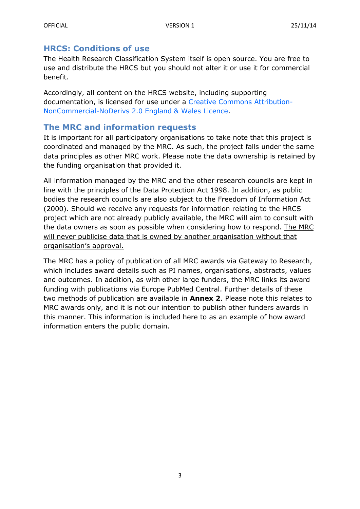#### **HRCS: Conditions of use**

The Health Research Classification System itself is open source. You are free to use and distribute the HRCS but you should not alter it or use it for commercial benefit.

Accordingly, all content on the HRCS website, including supporting documentation, is licensed for use under a [Creative Commons Attribution-](http://creativecommons.org/licenses/by-nc-nd/2.0/uk/)[NonCommercial-NoDerivs 2.0 England & Wales](http://creativecommons.org/licenses/by-nc-nd/2.0/uk/) Licence.

## **The MRC and information requests**

It is important for all participatory organisations to take note that this project is coordinated and managed by the MRC. As such, the project falls under the same data principles as other MRC work. Please note the data ownership is retained by the funding organisation that provided it.

All information managed by the MRC and the other research councils are kept in line with the principles of the Data Protection Act 1998. In addition, as public bodies the research councils are also subject to the Freedom of Information Act (2000). Should we receive any requests for information relating to the HRCS project which are not already publicly available, the MRC will aim to consult with the data owners as soon as possible when considering how to respond. The MRC will never publicise data that is owned by another organisation without that organisation's approval.

The MRC has a policy of publication of all MRC awards via Gateway to Research, which includes award details such as PI names, organisations, abstracts, values and outcomes. In addition, as with other large funders, the MRC links its award funding with publications via Europe PubMed Central. Further details of these two methods of publication are available in **Annex 2**. Please note this relates to MRC awards only, and it is not our intention to publish other funders awards in this manner. This information is included here to as an example of how award information enters the public domain.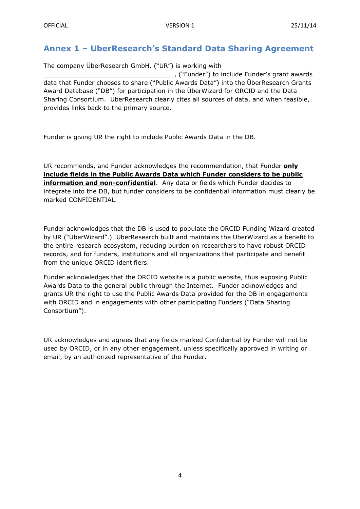## **Annex 1 – UberResearch's Standard Data Sharing Agreement**

The company ÜberResearch GmbH. ("UR") is working with \_\_\_\_\_\_\_\_\_\_\_\_\_\_\_\_\_\_\_\_\_\_\_\_\_\_\_\_\_\_\_\_\_\_, ("Funder") to include Funder's grant awards data that Funder chooses to share ("Public Awards Data") into the ÜberResearch Grants Award Database ("DB") for participation in the ÜberWizard for ORCID and the Data Sharing Consortium. UberResearch clearly cites all sources of data, and when feasible, provides links back to the primary source.

Funder is giving UR the right to include Public Awards Data in the DB.

UR recommends, and Funder acknowledges the recommendation, that Funder **only include fields in the Public Awards Data which Funder considers to be public information and non-confidential**. Any data or fields which Funder decides to integrate into the DB, but funder considers to be confidential information must clearly be marked CONFIDENTIAL.

Funder acknowledges that the DB is used to populate the ORCID Funding Wizard created by UR ("ÜberWizard".) UberResearch built and maintains the UberWizard as a benefit to the entire research ecosystem, reducing burden on researchers to have robust ORCID records, and for funders, institutions and all organizations that participate and benefit from the unique ORCID identifiers.

Funder acknowledges that the ORCID website is a public website, thus exposing Public Awards Data to the general public through the Internet. Funder acknowledges and grants UR the right to use the Public Awards Data provided for the DB in engagements with ORCID and in engagements with other participating Funders ("Data Sharing Consortium").

UR acknowledges and agrees that any fields marked Confidential by Funder will not be used by ORCID, or in any other engagement, unless specifically approved in writing or email, by an authorized representative of the Funder.